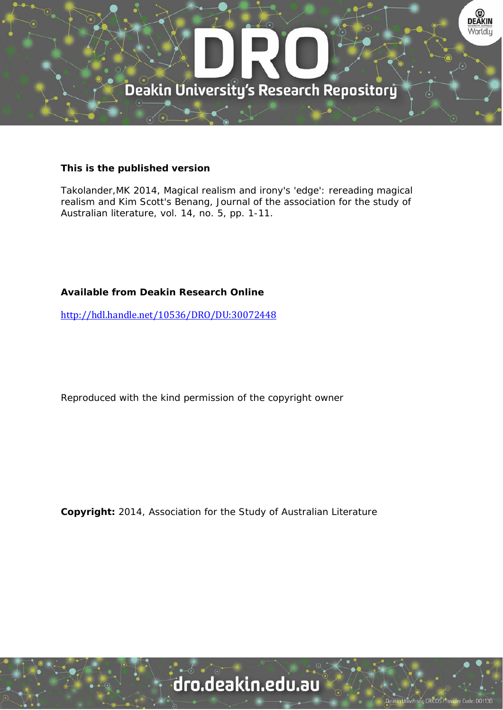

#### **This is the published version**

Takolander,MK 2014, Magical realism and irony's 'edge': rereading magical realism and Kim Scott's Benang, Journal of the association for the study of Australian literature, vol. 14, no. 5, pp. 1-11.

## **Available from Deakin Research Online**

http://hdl.handle.net/10536/DRO/DU:30072448

Reproduced with the kind permission of the copyright owner

**Copyright:** 2014, Association for the Study of Australian Literature

# dro.deakin.edu.au

ity CRICOS Pro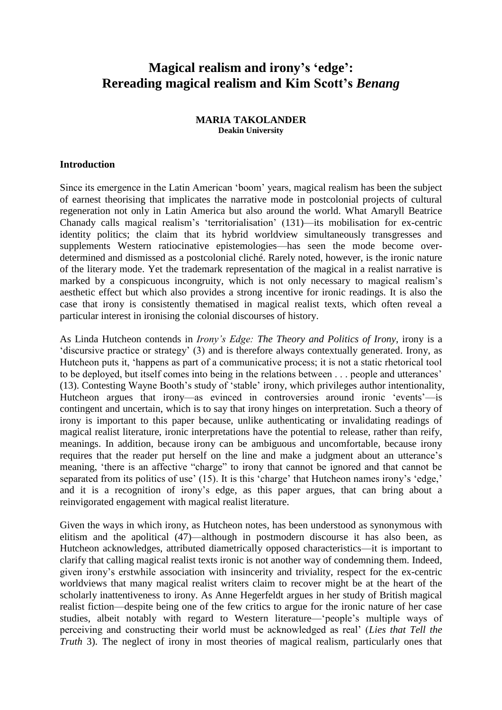# **Magical realism and irony's 'edge': Rereading magical realism and Kim Scott's** *Benang*

#### **MARIA TAKOLANDER Deakin University**

#### **Introduction**

Since its emergence in the Latin American 'boom' years, magical realism has been the subject of earnest theorising that implicates the narrative mode in postcolonial projects of cultural regeneration not only in Latin America but also around the world. What Amaryll Beatrice Chanady calls magical realism's 'territorialisation' (131)—its mobilisation for ex-centric identity politics; the claim that its hybrid worldview simultaneously transgresses and supplements Western ratiocinative epistemologies—has seen the mode become overdetermined and dismissed as a postcolonial cliché. Rarely noted, however, is the ironic nature of the literary mode. Yet the trademark representation of the magical in a realist narrative is marked by a conspicuous incongruity, which is not only necessary to magical realism's aesthetic effect but which also provides a strong incentive for ironic readings. It is also the case that irony is consistently thematised in magical realist texts, which often reveal a particular interest in ironising the colonial discourses of history.

As Linda Hutcheon contends in *Irony's Edge: The Theory and Politics of Irony*, irony is a 'discursive practice or strategy' (3) and is therefore always contextually generated. Irony, as Hutcheon puts it, 'happens as part of a communicative process; it is not a static rhetorical tool to be deployed, but itself comes into being in the relations between . . . people and utterances' (13). Contesting Wayne Booth's study of 'stable' irony, which privileges author intentionality, Hutcheon argues that irony—as evinced in controversies around ironic 'events'—is contingent and uncertain, which is to say that irony hinges on interpretation. Such a theory of irony is important to this paper because, unlike authenticating or invalidating readings of magical realist literature, ironic interpretations have the potential to release, rather than reify, meanings. In addition, because irony can be ambiguous and uncomfortable, because irony requires that the reader put herself on the line and make a judgment about an utterance's meaning, 'there is an affective "charge" to irony that cannot be ignored and that cannot be separated from its politics of use' (15). It is this 'charge' that Hutcheon names irony's 'edge,' and it is a recognition of irony's edge, as this paper argues, that can bring about a reinvigorated engagement with magical realist literature.

Given the ways in which irony, as Hutcheon notes, has been understood as synonymous with elitism and the apolitical (47)—although in postmodern discourse it has also been, as Hutcheon acknowledges, attributed diametrically opposed characteristics—it is important to clarify that calling magical realist texts ironic is not another way of condemning them. Indeed, given irony's erstwhile association with insincerity and triviality, respect for the ex-centric worldviews that many magical realist writers claim to recover might be at the heart of the scholarly inattentiveness to irony. As Anne Hegerfeldt argues in her study of British magical realist fiction—despite being one of the few critics to argue for the ironic nature of her case studies, albeit notably with regard to Western literature—'people's multiple ways of perceiving and constructing their world must be acknowledged as real' (*Lies that Tell the Truth* 3). The neglect of irony in most theories of magical realism, particularly ones that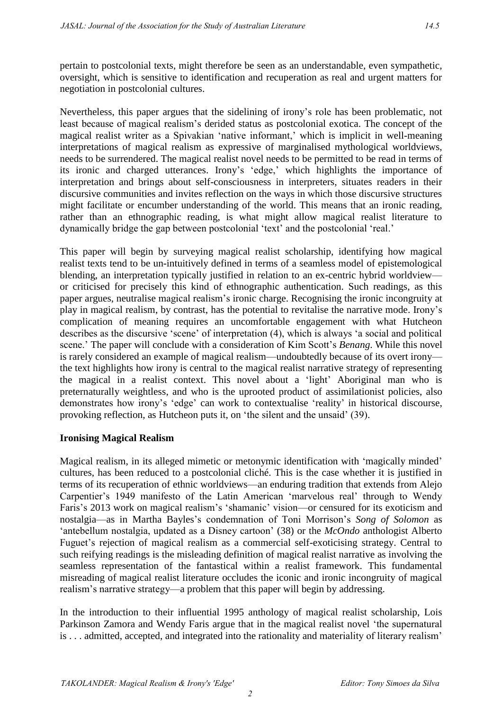pertain to postcolonial texts, might therefore be seen as an understandable, even sympathetic, oversight, which is sensitive to identification and recuperation as real and urgent matters for negotiation in postcolonial cultures.

Nevertheless, this paper argues that the sidelining of irony's role has been problematic, not least because of magical realism's derided status as postcolonial exotica. The concept of the magical realist writer as a Spivakian 'native informant,' which is implicit in well-meaning interpretations of magical realism as expressive of marginalised mythological worldviews, needs to be surrendered. The magical realist novel needs to be permitted to be read in terms of its ironic and charged utterances. Irony's 'edge,' which highlights the importance of interpretation and brings about self-consciousness in interpreters, situates readers in their discursive communities and invites reflection on the ways in which those discursive structures might facilitate or encumber understanding of the world. This means that an ironic reading, rather than an ethnographic reading, is what might allow magical realist literature to dynamically bridge the gap between postcolonial 'text' and the postcolonial 'real.'

This paper will begin by surveying magical realist scholarship, identifying how magical realist texts tend to be un-intuitively defined in terms of a seamless model of epistemological blending, an interpretation typically justified in relation to an ex-centric hybrid worldview or criticised for precisely this kind of ethnographic authentication. Such readings, as this paper argues, neutralise magical realism's ironic charge. Recognising the ironic incongruity at play in magical realism, by contrast, has the potential to revitalise the narrative mode. Irony's complication of meaning requires an uncomfortable engagement with what Hutcheon describes as the discursive 'scene' of interpretation (4), which is always 'a social and political scene.' The paper will conclude with a consideration of Kim Scott's *Benang*. While this novel is rarely considered an example of magical realism—undoubtedly because of its overt irony the text highlights how irony is central to the magical realist narrative strategy of representing the magical in a realist context. This novel about a 'light' Aboriginal man who is preternaturally weightless, and who is the uprooted product of assimilationist policies, also demonstrates how irony's 'edge' can work to contextualise 'reality' in historical discourse, provoking reflection, as Hutcheon puts it, on 'the silent and the unsaid' (39).

# **Ironising Magical Realism**

Magical realism, in its alleged mimetic or metonymic identification with 'magically minded' cultures, has been reduced to a postcolonial cliché. This is the case whether it is justified in terms of its recuperation of ethnic worldviews—an enduring tradition that extends from Alejo Carpentier's 1949 manifesto of the Latin American 'marvelous real' through to Wendy Faris's 2013 work on magical realism's 'shamanic' vision—or censured for its exoticism and nostalgia—as in Martha Bayles's condemnation of Toni Morrison's *Song of Solomon* as 'antebellum nostalgia, updated as a Disney cartoon' (38) or the *McOndo* anthologist Alberto Fuguet's rejection of magical realism as a commercial self-exoticising strategy. Central to such reifying readings is the misleading definition of magical realist narrative as involving the seamless representation of the fantastical within a realist framework. This fundamental misreading of magical realist literature occludes the iconic and ironic incongruity of magical realism's narrative strategy—a problem that this paper will begin by addressing.

In the introduction to their influential 1995 anthology of magical realist scholarship, Lois Parkinson Zamora and Wendy Faris argue that in the magical realist novel 'the supernatural is . . . admitted, accepted, and integrated into the rationality and materiality of literary realism'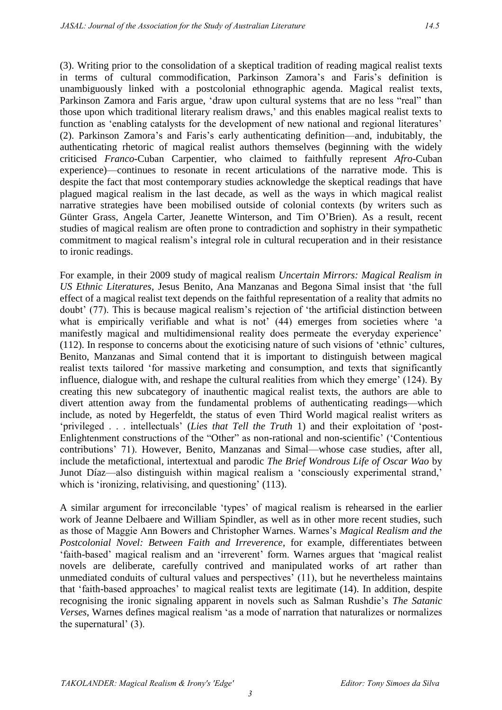(3). Writing prior to the consolidation of a skeptical tradition of reading magical realist texts in terms of cultural commodification, Parkinson Zamora's and Faris's definition is unambiguously linked with a postcolonial ethnographic agenda. Magical realist texts, Parkinson Zamora and Faris argue, 'draw upon cultural systems that are no less "real" than those upon which traditional literary realism draws,' and this enables magical realist texts to function as 'enabling catalysts for the development of new national and regional literatures' (2). Parkinson Zamora's and Faris's early authenticating definition—and, indubitably, the authenticating rhetoric of magical realist authors themselves (beginning with the widely criticised *Franco*-Cuban Carpentier, who claimed to faithfully represent *Afro*-Cuban experience)—continues to resonate in recent articulations of the narrative mode. This is despite the fact that most contemporary studies acknowledge the skeptical readings that have plagued magical realism in the last decade, as well as the ways in which magical realist narrative strategies have been mobilised outside of colonial contexts (by writers such as Günter Grass, Angela Carter, Jeanette Winterson, and Tim O'Brien). As a result, recent studies of magical realism are often prone to contradiction and sophistry in their sympathetic commitment to magical realism's integral role in cultural recuperation and in their resistance to ironic readings.

For example, in their 2009 study of magical realism *Uncertain Mirrors: Magical Realism in US Ethnic Literatures*, Jesus Benito, Ana Manzanas and Begona Simal insist that 'the full effect of a magical realist text depends on the faithful representation of a reality that admits no doubt' (77). This is because magical realism's rejection of 'the artificial distinction between what is empirically verifiable and what is not' (44) emerges from societies where 'a manifestly magical and multidimensional reality does permeate the everyday experience' (112). In response to concerns about the exoticising nature of such visions of 'ethnic' cultures, Benito, Manzanas and Simal contend that it is important to distinguish between magical realist texts tailored 'for massive marketing and consumption, and texts that significantly influence, dialogue with, and reshape the cultural realities from which they emerge' (124). By creating this new subcategory of inauthentic magical realist texts, the authors are able to divert attention away from the fundamental problems of authenticating readings—which include, as noted by Hegerfeldt, the status of even Third World magical realist writers as 'privileged . . . intellectuals' (*Lies that Tell the Truth* 1) and their exploitation of 'post-Enlightenment constructions of the "Other" as non-rational and non-scientific' ('Contentious contributions' 71). However, Benito, Manzanas and Simal—whose case studies, after all, include the metafictional, intertextual and parodic *The Brief Wondrous Life of Oscar Wao* by Junot Díaz—also distinguish within magical realism a 'consciously experimental strand,' which is 'ironizing, relativising, and questioning' (113).

A similar argument for irreconcilable 'types' of magical realism is rehearsed in the earlier work of Jeanne Delbaere and William Spindler, as well as in other more recent studies, such as those of Maggie Ann Bowers and Christopher Warnes. Warnes's *Magical Realism and the Postcolonial Novel: Between Faith and Irreverence*, for example, differentiates between 'faith-based' magical realism and an 'irreverent' form. Warnes argues that 'magical realist novels are deliberate, carefully contrived and manipulated works of art rather than unmediated conduits of cultural values and perspectives' (11), but he nevertheless maintains that 'faith-based approaches' to magical realist texts are legitimate (14). In addition, despite recognising the ironic signaling apparent in novels such as Salman Rushdie's *The Satanic Verses*, Warnes defines magical realism 'as a mode of narration that naturalizes or normalizes the supernatural' (3).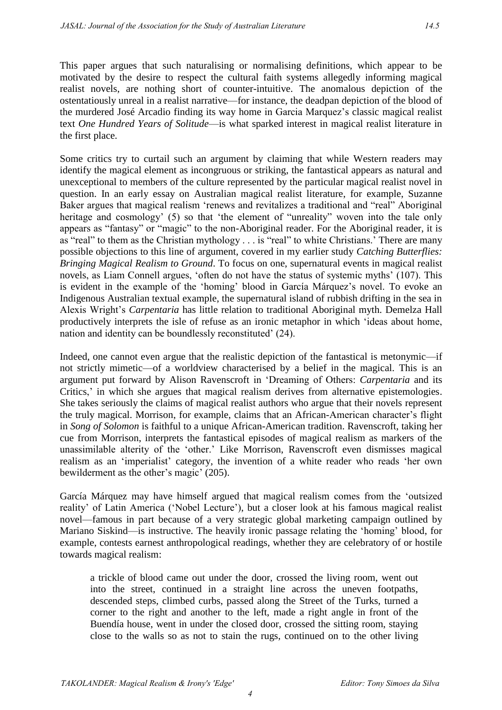This paper argues that such naturalising or normalising definitions, which appear to be motivated by the desire to respect the cultural faith systems allegedly informing magical realist novels, are nothing short of counter-intuitive. The anomalous depiction of the ostentatiously unreal in a realist narrative—for instance, the deadpan depiction of the blood of the murdered José Arcadio finding its way home in Garcia Marquez's classic magical realist text *One Hundred Years of Solitude*—is what sparked interest in magical realist literature in the first place.

Some critics try to curtail such an argument by claiming that while Western readers may identify the magical element as incongruous or striking, the fantastical appears as natural and unexceptional to members of the culture represented by the particular magical realist novel in question. In an early essay on Australian magical realist literature, for example, Suzanne Baker argues that magical realism 'renews and revitalizes a traditional and "real" Aboriginal heritage and cosmology' (5) so that 'the element of "unreality" woven into the tale only appears as "fantasy" or "magic" to the non-Aboriginal reader. For the Aboriginal reader, it is as "real" to them as the Christian mythology . . . is "real" to white Christians.' There are many possible objections to this line of argument, covered in my earlier study *Catching Butterflies: Bringing Magical Realism to Ground*. To focus on one, supernatural events in magical realist novels, as Liam Connell argues, 'often do not have the status of systemic myths' (107). This is evident in the example of the 'homing' blood in García Márquez's novel. To evoke an Indigenous Australian textual example, the supernatural island of rubbish drifting in the sea in Alexis Wright's *Carpentaria* has little relation to traditional Aboriginal myth. Demelza Hall productively interprets the isle of refuse as an ironic metaphor in which 'ideas about home, nation and identity can be boundlessly reconstituted' (24).

Indeed, one cannot even argue that the realistic depiction of the fantastical is metonymic—if not strictly mimetic—of a worldview characterised by a belief in the magical. This is an argument put forward by Alison Ravenscroft in 'Dreaming of Others: *Carpentaria* and its Critics,' in which she argues that magical realism derives from alternative epistemologies. She takes seriously the claims of magical realist authors who argue that their novels represent the truly magical. Morrison, for example, claims that an African-American character's flight in *Song of Solomon* is faithful to a unique African-American tradition. Ravenscroft, taking her cue from Morrison, interprets the fantastical episodes of magical realism as markers of the unassimilable alterity of the 'other.' Like Morrison, Ravenscroft even dismisses magical realism as an 'imperialist' category, the invention of a white reader who reads 'her own bewilderment as the other's magic' (205).

García Márquez may have himself argued that magical realism comes from the 'outsized reality' of Latin America ('Nobel Lecture'), but a closer look at his famous magical realist novel—famous in part because of a very strategic global marketing campaign outlined by Mariano Siskind—is instructive. The heavily ironic passage relating the 'homing' blood, for example, contests earnest anthropological readings, whether they are celebratory of or hostile towards magical realism:

a trickle of blood came out under the door, crossed the living room, went out into the street, continued in a straight line across the uneven footpaths, descended steps, climbed curbs, passed along the Street of the Turks, turned a corner to the right and another to the left, made a right angle in front of the Buendía house, went in under the closed door, crossed the sitting room, staying close to the walls so as not to stain the rugs, continued on to the other living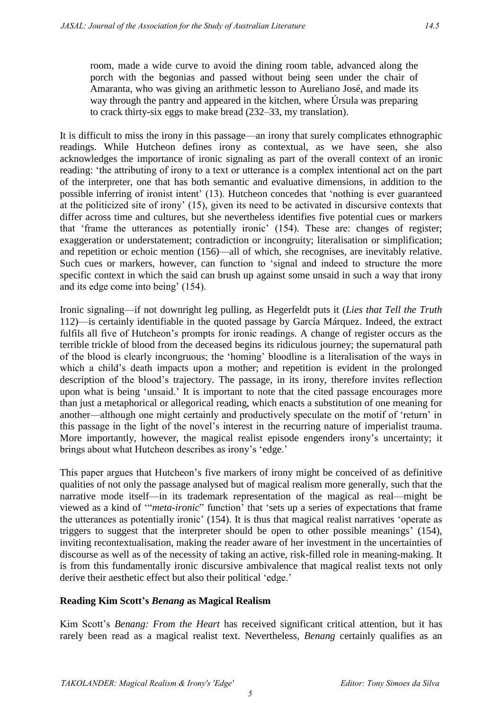room, made a wide curve to avoid the dining room table, advanced along the porch with the begonias and passed without being seen under the chair of Amaranta, who was giving an arithmetic lesson to Aureliano José, and made its way through the pantry and appeared in the kitchen, where Úrsula was preparing to crack thirty-six eggs to make bread (232–33, my translation).

It is difficult to miss the irony in this passage—an irony that surely complicates ethnographic readings. While Hutcheon defines irony as contextual, as we have seen, she also acknowledges the importance of ironic signaling as part of the overall context of an ironic reading: 'the attributing of irony to a text or utterance is a complex intentional act on the part of the interpreter, one that has both semantic and evaluative dimensions, in addition to the possible inferring of ironist intent' (13). Hutcheon concedes that 'nothing is ever guaranteed at the politicized site of irony' (15), given its need to be activated in discursive contexts that differ across time and cultures, but she nevertheless identifies five potential cues or markers that 'frame the utterances as potentially ironic' (154). These are: changes of register; exaggeration or understatement; contradiction or incongruity; literalisation or simplification; and repetition or echoic mention (156)—all of which, she recognises, are inevitably relative. Such cues or markers, however, can function to 'signal and indeed to structure the more specific context in which the said can brush up against some unsaid in such a way that irony and its edge come into being' (154).

Ironic signaling—if not downright leg pulling, as Hegerfeldt puts it (*Lies that Tell the Truth* 112)—is certainly identifiable in the quoted passage by García Márquez. Indeed, the extract fulfils all five of Hutcheon's prompts for ironic readings. A change of register occurs as the terrible trickle of blood from the deceased begins its ridiculous journey; the supernatural path of the blood is clearly incongruous; the 'homing' bloodline is a literalisation of the ways in which a child's death impacts upon a mother; and repetition is evident in the prolonged description of the blood's trajectory. The passage, in its irony, therefore invites reflection upon what is being 'unsaid.' It is important to note that the cited passage encourages more than just a metaphorical or allegorical reading, which enacts a substitution of one meaning for another—although one might certainly and productively speculate on the motif of 'return' in this passage in the light of the novel's interest in the recurring nature of imperialist trauma. More importantly, however, the magical realist episode engenders irony's uncertainty; it brings about what Hutcheon describes as irony's 'edge.'

This paper argues that Hutcheon's five markers of irony might be conceived of as definitive qualities of not only the passage analysed but of magical realism more generally, such that the narrative mode itself—in its trademark representation of the magical as real—might be viewed as a kind of '"*meta-ironic*" function' that 'sets up a series of expectations that frame the utterances as potentially ironic' (154). It is thus that magical realist narratives 'operate as triggers to suggest that the interpreter should be open to other possible meanings' (154), inviting recontextualisation, making the reader aware of her investment in the uncertainties of discourse as well as of the necessity of taking an active, risk-filled role in meaning-making. It is from this fundamentally ironic discursive ambivalence that magical realist texts not only derive their aesthetic effect but also their political 'edge.'

# **Reading Kim Scott's** *Benang* **as Magical Realism**

Kim Scott's *Benang: From the Heart* has received significant critical attention, but it has rarely been read as a magical realist text. Nevertheless, *Benang* certainly qualifies as an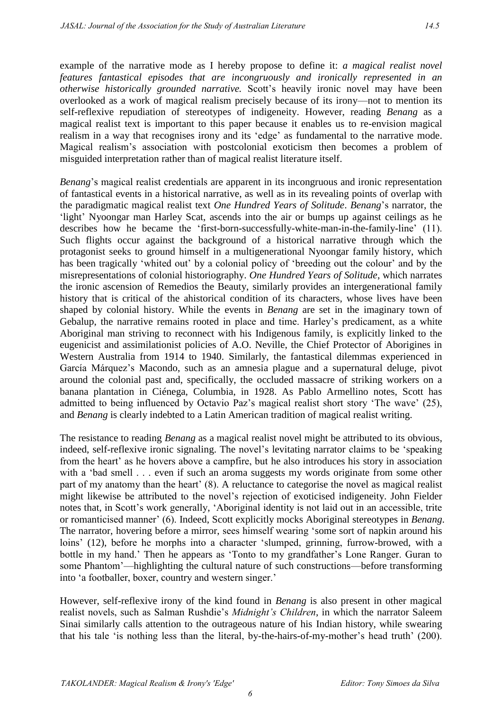example of the narrative mode as I hereby propose to define it: *a magical realist novel features fantastical episodes that are incongruously and ironically represented in an otherwise historically grounded narrative.* Scott's heavily ironic novel may have been overlooked as a work of magical realism precisely because of its irony—not to mention its self-reflexive repudiation of stereotypes of indigeneity. However, reading *Benang* as a magical realist text is important to this paper because it enables us to re-envision magical realism in a way that recognises irony and its 'edge' as fundamental to the narrative mode. Magical realism's association with postcolonial exoticism then becomes a problem of misguided interpretation rather than of magical realist literature itself.

*Benang*'s magical realist credentials are apparent in its incongruous and ironic representation of fantastical events in a historical narrative, as well as in its revealing points of overlap with the paradigmatic magical realist text *One Hundred Years of Solitude*. *Benang*'s narrator, the 'light' Nyoongar man Harley Scat, ascends into the air or bumps up against ceilings as he describes how he became the 'first-born-successfully-white-man-in-the-family-line' (11). Such flights occur against the background of a historical narrative through which the protagonist seeks to ground himself in a multigenerational Nyoongar family history, which has been tragically 'whited out' by a colonial policy of 'breeding out the colour' and by the misrepresentations of colonial historiography. *One Hundred Years of Solitude*, which narrates the ironic ascension of Remedios the Beauty, similarly provides an intergenerational family history that is critical of the ahistorical condition of its characters, whose lives have been shaped by colonial history. While the events in *Benang* are set in the imaginary town of Gebalup, the narrative remains rooted in place and time. Harley's predicament, as a white Aboriginal man striving to reconnect with his Indigenous family, is explicitly linked to the eugenicist and assimilationist policies of A.O. Neville, the Chief Protector of Aborigines in Western Australia from 1914 to 1940. Similarly, the fantastical dilemmas experienced in García Márquez's Macondo, such as an amnesia plague and a supernatural deluge, pivot around the colonial past and, specifically, the occluded massacre of striking workers on a banana plantation in Ciénega, Columbia, in 1928. As Pablo Armellino notes, Scott has admitted to being influenced by Octavio Paz's magical realist short story 'The wave' (25), and *Benang* is clearly indebted to a Latin American tradition of magical realist writing.

The resistance to reading *Benang* as a magical realist novel might be attributed to its obvious, indeed, self-reflexive ironic signaling. The novel's levitating narrator claims to be 'speaking from the heart' as he hovers above a campfire, but he also introduces his story in association with a 'bad smell . . . even if such an aroma suggests my words originate from some other part of my anatomy than the heart' (8). A reluctance to categorise the novel as magical realist might likewise be attributed to the novel's rejection of exoticised indigeneity. John Fielder notes that, in Scott's work generally, 'Aboriginal identity is not laid out in an accessible, trite or romanticised manner' (6). Indeed, Scott explicitly mocks Aboriginal stereotypes in *Benang*. The narrator, hovering before a mirror, sees himself wearing 'some sort of napkin around his loins' (12), before he morphs into a character 'slumped, grinning, furrow-browed, with a bottle in my hand.' Then he appears as 'Tonto to my grandfather's Lone Ranger. Guran to some Phantom'—highlighting the cultural nature of such constructions—before transforming into 'a footballer, boxer, country and western singer.'

However, self-reflexive irony of the kind found in *Benang* is also present in other magical realist novels, such as Salman Rushdie's *Midnight's Children*, in which the narrator Saleem Sinai similarly calls attention to the outrageous nature of his Indian history, while swearing that his tale 'is nothing less than the literal, by-the-hairs-of-my-mother's head truth' (200).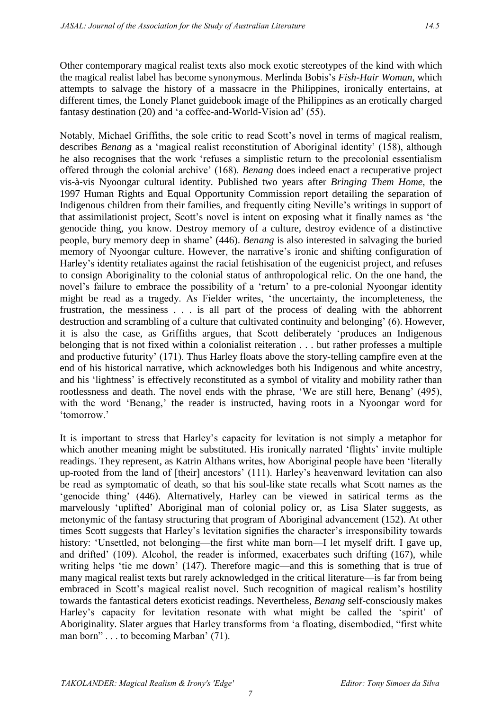Other contemporary magical realist texts also mock exotic stereotypes of the kind with which the magical realist label has become synonymous. Merlinda Bobis's *Fish-Hair Woman*, which attempts to salvage the history of a massacre in the Philippines, ironically entertains, at different times, the Lonely Planet guidebook image of the Philippines as an erotically charged fantasy destination (20) and 'a coffee-and-World-Vision ad' (55).

Notably, Michael Griffiths, the sole critic to read Scott's novel in terms of magical realism, describes *Benang* as a 'magical realist reconstitution of Aboriginal identity' (158), although he also recognises that the work 'refuses a simplistic return to the precolonial essentialism offered through the colonial archive' (168). *Benang* does indeed enact a recuperative project vis-à-vis Nyoongar cultural identity. Published two years after *Bringing Them Home*, the 1997 Human Rights and Equal Opportunity Commission report detailing the separation of Indigenous children from their families, and frequently citing Neville's writings in support of that assimilationist project, Scott's novel is intent on exposing what it finally names as 'the genocide thing, you know. Destroy memory of a culture, destroy evidence of a distinctive people, bury memory deep in shame' (446). *Benang* is also interested in salvaging the buried memory of Nyoongar culture. However, the narrative's ironic and shifting configuration of Harley's identity retaliates against the racial fetishisation of the eugenicist project, and refuses to consign Aboriginality to the colonial status of anthropological relic. On the one hand, the novel's failure to embrace the possibility of a 'return' to a pre-colonial Nyoongar identity might be read as a tragedy. As Fielder writes, 'the uncertainty, the incompleteness, the frustration, the messiness . . . is all part of the process of dealing with the abhorrent destruction and scrambling of a culture that cultivated continuity and belonging' (6). However, it is also the case, as Griffiths argues, that Scott deliberately 'produces an Indigenous belonging that is not fixed within a colonialist reiteration . . . but rather professes a multiple and productive futurity' (171). Thus Harley floats above the story-telling campfire even at the end of his historical narrative, which acknowledges both his Indigenous and white ancestry, and his 'lightness' is effectively reconstituted as a symbol of vitality and mobility rather than rootlessness and death. The novel ends with the phrase, 'We are still here, Benang' (495), with the word 'Benang,' the reader is instructed, having roots in a Nyoongar word for 'tomorrow.'

It is important to stress that Harley's capacity for levitation is not simply a metaphor for which another meaning might be substituted. His ironically narrated 'flights' invite multiple readings. They represent, as Katrin Althans writes, how Aboriginal people have been 'literally up-rooted from the land of [their] ancestors' (111). Harley's heavenward levitation can also be read as symptomatic of death, so that his soul-like state recalls what Scott names as the 'genocide thing' (446). Alternatively, Harley can be viewed in satirical terms as the marvelously 'uplifted' Aboriginal man of colonial policy or, as Lisa Slater suggests, as metonymic of the fantasy structuring that program of Aboriginal advancement (152). At other times Scott suggests that Harley's levitation signifies the character's irresponsibility towards history: 'Unsettled, not belonging—the first white man born—I let myself drift. I gave up, and drifted' (109). Alcohol, the reader is informed, exacerbates such drifting (167), while writing helps 'tie me down' (147). Therefore magic—and this is something that is true of many magical realist texts but rarely acknowledged in the critical literature—is far from being embraced in Scott's magical realist novel. Such recognition of magical realism's hostility towards the fantastical deters exoticist readings. Nevertheless, *Benang* self-consciously makes Harley's capacity for levitation resonate with what might be called the 'spirit' of Aboriginality. Slater argues that Harley transforms from 'a floating, disembodied, "first white man born" . . . to becoming Marban' (71).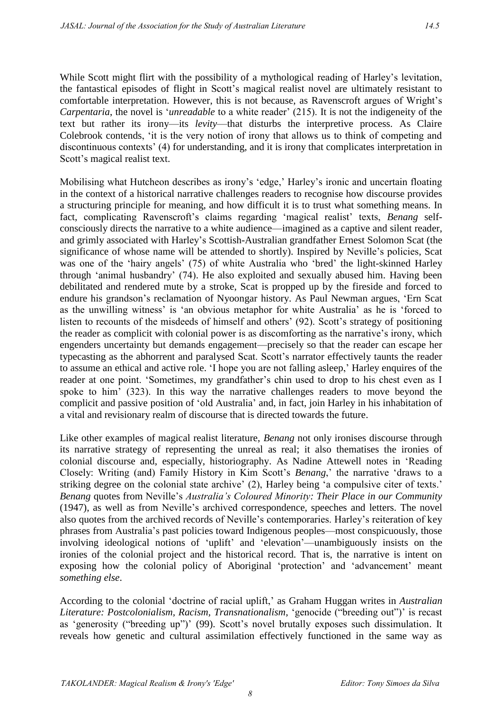While Scott might flirt with the possibility of a mythological reading of Harley's levitation, the fantastical episodes of flight in Scott's magical realist novel are ultimately resistant to comfortable interpretation. However, this is not because, as Ravenscroft argues of Wright's *Carpentaria*, the novel is '*unreadable* to a white reader' (215). It is not the indigeneity of the text but rather its irony—its *levity*—that disturbs the interpretive process. As Claire Colebrook contends, 'it is the very notion of irony that allows us to think of competing and discontinuous contexts' (4) for understanding, and it is irony that complicates interpretation in Scott's magical realist text.

Mobilising what Hutcheon describes as irony's 'edge,' Harley's ironic and uncertain floating in the context of a historical narrative challenges readers to recognise how discourse provides a structuring principle for meaning, and how difficult it is to trust what something means. In fact, complicating Ravenscroft's claims regarding 'magical realist' texts, *Benang* selfconsciously directs the narrative to a white audience—imagined as a captive and silent reader, and grimly associated with Harley's Scottish-Australian grandfather Ernest Solomon Scat (the significance of whose name will be attended to shortly). Inspired by Neville's policies, Scat was one of the 'hairy angels' (75) of white Australia who 'bred' the light-skinned Harley through 'animal husbandry' (74). He also exploited and sexually abused him. Having been debilitated and rendered mute by a stroke, Scat is propped up by the fireside and forced to endure his grandson's reclamation of Nyoongar history. As Paul Newman argues, 'Ern Scat as the unwilling witness' is 'an obvious metaphor for white Australia' as he is 'forced to listen to recounts of the misdeeds of himself and others' (92). Scott's strategy of positioning the reader as complicit with colonial power is as discomforting as the narrative's irony, which engenders uncertainty but demands engagement—precisely so that the reader can escape her typecasting as the abhorrent and paralysed Scat. Scott's narrator effectively taunts the reader to assume an ethical and active role. 'I hope you are not falling asleep,' Harley enquires of the reader at one point. 'Sometimes, my grandfather's chin used to drop to his chest even as I spoke to him' (323). In this way the narrative challenges readers to move beyond the complicit and passive position of 'old Australia' and, in fact, join Harley in his inhabitation of a vital and revisionary realm of discourse that is directed towards the future.

Like other examples of magical realist literature, *Benang* not only ironises discourse through its narrative strategy of representing the unreal as real; it also thematises the ironies of colonial discourse and, especially, historiography. As Nadine Attewell notes in 'Reading Closely: Writing (and) Family History in Kim Scott's *Benang*,' the narrative 'draws to a striking degree on the colonial state archive' (2), Harley being 'a compulsive citer of texts.' *Benang* quotes from Neville's *Australia's Coloured Minority: Their Place in our Community* (1947), as well as from Neville's archived correspondence, speeches and letters. The novel also quotes from the archived records of Neville's contemporaries. Harley's reiteration of key phrases from Australia's past policies toward Indigenous peoples—most conspicuously, those involving ideological notions of 'uplift' and 'elevation'—unambiguously insists on the ironies of the colonial project and the historical record. That is, the narrative is intent on exposing how the colonial policy of Aboriginal 'protection' and 'advancement' meant *something else*.

According to the colonial 'doctrine of racial uplift,' as Graham Huggan writes in *Australian Literature: Postcolonialism, Racism, Transnationalism*, 'genocide ("breeding out")' is recast as 'generosity ("breeding up")' (99). Scott's novel brutally exposes such dissimulation. It reveals how genetic and cultural assimilation effectively functioned in the same way as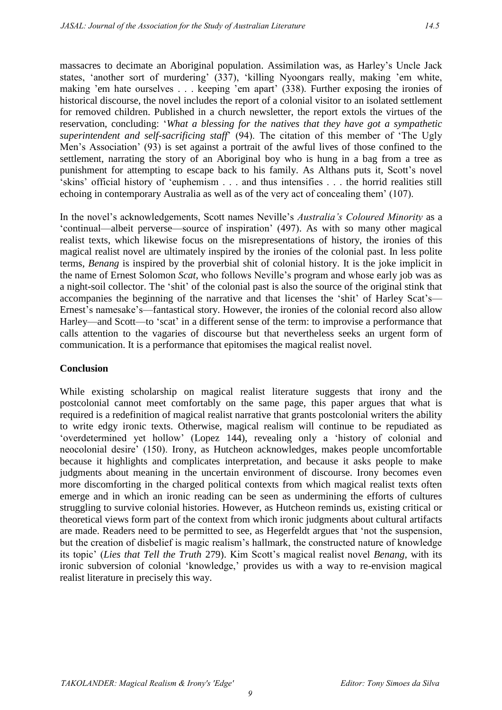massacres to decimate an Aboriginal population. Assimilation was, as Harley's Uncle Jack states, 'another sort of murdering' (337), 'killing Nyoongars really, making 'em white, making 'em hate ourselves . . . keeping 'em apart' (338). Further exposing the ironies of historical discourse, the novel includes the report of a colonial visitor to an isolated settlement for removed children. Published in a church newsletter, the report extols the virtues of the reservation, concluding: '*What a blessing for the natives that they have got a sympathetic superintendent and self-sacrificing staff*' (94). The citation of this member of 'The Ugly Men's Association' (93) is set against a portrait of the awful lives of those confined to the settlement, narrating the story of an Aboriginal boy who is hung in a bag from a tree as punishment for attempting to escape back to his family. As Althans puts it, Scott's novel 'skins' official history of 'euphemism . . . and thus intensifies . . . the horrid realities still echoing in contemporary Australia as well as of the very act of concealing them' (107).

In the novel's acknowledgements, Scott names Neville's *Australia's Coloured Minority* as a 'continual—albeit perverse—source of inspiration' (497). As with so many other magical realist texts, which likewise focus on the misrepresentations of history, the ironies of this magical realist novel are ultimately inspired by the ironies of the colonial past. In less polite terms, *Benang* is inspired by the proverbial shit of colonial history. It is the joke implicit in the name of Ernest Solomon *Scat*, who follows Neville's program and whose early job was as a night-soil collector. The 'shit' of the colonial past is also the source of the original stink that accompanies the beginning of the narrative and that licenses the 'shit' of Harley Scat's— Ernest's namesake's—fantastical story. However, the ironies of the colonial record also allow Harley—and Scott—to 'scat' in a different sense of the term: to improvise a performance that calls attention to the vagaries of discourse but that nevertheless seeks an urgent form of communication. It is a performance that epitomises the magical realist novel.

#### **Conclusion**

While existing scholarship on magical realist literature suggests that irony and the postcolonial cannot meet comfortably on the same page, this paper argues that what is required is a redefinition of magical realist narrative that grants postcolonial writers the ability to write edgy ironic texts. Otherwise, magical realism will continue to be repudiated as 'overdetermined yet hollow' (Lopez 144), revealing only a 'history of colonial and neocolonial desire' (150). Irony, as Hutcheon acknowledges, makes people uncomfortable because it highlights and complicates interpretation, and because it asks people to make judgments about meaning in the uncertain environment of discourse. Irony becomes even more discomforting in the charged political contexts from which magical realist texts often emerge and in which an ironic reading can be seen as undermining the efforts of cultures struggling to survive colonial histories. However, as Hutcheon reminds us, existing critical or theoretical views form part of the context from which ironic judgments about cultural artifacts are made. Readers need to be permitted to see, as Hegerfeldt argues that 'not the suspension, but the creation of disbelief is magic realism's hallmark, the constructed nature of knowledge its topic' (*Lies that Tell the Truth* 279). Kim Scott's magical realist novel *Benang*, with its ironic subversion of colonial 'knowledge,' provides us with a way to re-envision magical realist literature in precisely this way.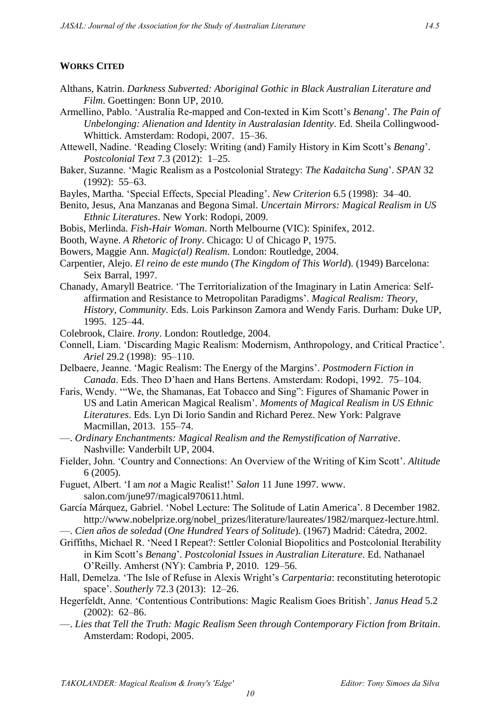## **WORKS CITED**

- Althans, Katrin. *Darkness Subverted: Aboriginal Gothic in Black Australian Literature and Film*. Goettingen: Bonn UP, 2010.
- Armellino, Pablo. 'Australia Re-mapped and Con-texted in Kim Scott's *Benang*'. *The Pain of Unbelonging: Alienation and Identity in Australasian Identity*. Ed. Sheila Collingwood-Whittick. Amsterdam: Rodopi, 2007. 15–36.
- Attewell, Nadine. 'Reading Closely: Writing (and) Family History in Kim Scott's *Benang*'. *Postcolonial Text* 7.3 (2012): 1–25.
- Baker, Suzanne. 'Magic Realism as a Postcolonial Strategy: *The Kadaitcha Sung*'. *SPAN* 32 (1992): 55–63.
- Bayles, Martha. 'Special Effects, Special Pleading'. *New Criterion* 6.5 (1998): 34–40.
- Benito, Jesus, Ana Manzanas and Begona Simal. *Uncertain Mirrors: Magical Realism in US Ethnic Literatures*. New York: Rodopi, 2009.
- Bobis, Merlinda. *Fish-Hair Woman*. North Melbourne (VIC): Spinifex, 2012.
- Booth, Wayne. *A Rhetoric of Irony*. Chicago: U of Chicago P, 1975.
- Bowers, Maggie Ann. *Magic(al) Realism*. London: Routledge, 2004.
- Carpentier, Alejo. *El reino de este mundo* (*The Kingdom of This World*). (1949) Barcelona: Seix Barral, 1997.
- Chanady, Amaryll Beatrice. 'The Territorialization of the Imaginary in Latin America: Selfaffirmation and Resistance to Metropolitan Paradigms'. *Magical Realism: Theory, History, Community*. Eds. Lois Parkinson Zamora and Wendy Faris. Durham: Duke UP, 1995. 125–44.
- Colebrook, Claire. *Irony*. London: Routledge, 2004.
- Connell, Liam. 'Discarding Magic Realism: Modernism, Anthropology, and Critical Practice'. *Ariel* 29.2 (1998): 95–110.
- Delbaere, Jeanne. 'Magic Realism: The Energy of the Margins'. *Postmodern Fiction in Canada*. Eds. Theo D'haen and Hans Bertens. Amsterdam: Rodopi, 1992. 75–104.
- Faris, Wendy. '"We, the Shamanas, Eat Tobacco and Sing": Figures of Shamanic Power in US and Latin American Magical Realism'. *Moments of Magical Realism in US Ethnic Literatures*. Eds. Lyn Di Iorio Sandin and Richard Perez. New York: Palgrave Macmillan, 2013. 155–74.
- —. *Ordinary Enchantments: Magical Realism and the Remystification of Narrative*. Nashville: Vanderbilt UP, 2004.
- Fielder, John. 'Country and Connections: An Overview of the Writing of Kim Scott'. *Altitude* 6 (2005).
- Fuguet, Albert. 'I am *not* a Magic Realist!' *Salon* 11 June 1997. www. salon.com/june97/magical970611.html.
- García Márquez, Gabriel. 'Nobel Lecture: The Solitude of Latin America'. 8 December 1982. http://www.nobelprize.org/nobel\_prizes/literature/laureates/1982/marquez-lecture.html.
- —. *Cien años de soledad* (*One Hundred Years of Solitude*). (1967) Madrid: Cátedra, 2002.
- Griffiths, Michael R. 'Need I Repeat?: Settler Colonial Biopolitics and Postcolonial Iterability in Kim Scott's *Benang*'. *Postcolonial Issues in Australian Literature*. Ed. Nathanael O'Reilly. Amherst (NY): Cambria P, 2010. 129–56.
- Hall, Demelza. 'The Isle of Refuse in Alexis Wright's *Carpentaria*: reconstituting heterotopic space'. *Southerly* 72.3 (2013): 12–26.
- Hegerfeldt, Anne. 'Contentious Contributions: Magic Realism Goes British'. *Janus Head* 5.2 (2002): 62–86.
- —. *Lies that Tell the Truth: Magic Realism Seen through Contemporary Fiction from Britain*. Amsterdam: Rodopi, 2005.